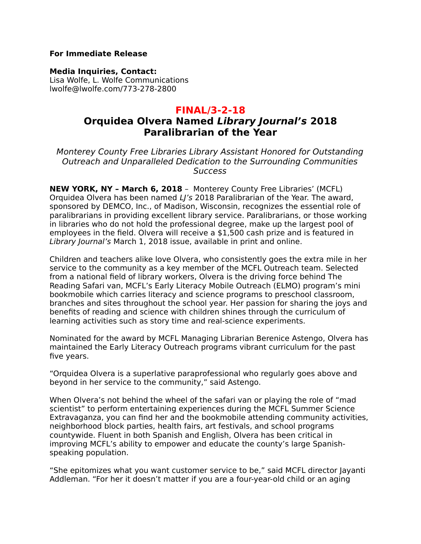#### **For Immediate Release**

**Media Inquiries, Contact:** 

Lisa Wolfe, L. Wolfe Communications lwolfe@lwolfe.com/773-278-2800

## **FINAL/3-2-18**

# **Orquidea Olvera Named Library Journal's 2018 Paralibrarian of the Year**

Monterey County Free Libraries Library Assistant Honored for Outstanding Outreach and Unparalleled Dedication to the Surrounding Communities **Success** 

**NEW YORK, NY – March 6, 2018** – Monterey County Free Libraries' (MCFL) Orquidea Olvera has been named LI's 2018 Paralibrarian of the Year. The award, sponsored by DEMCO, Inc., of Madison, Wisconsin, recognizes the essential role of paralibrarians in providing excellent library service. Paralibrarians, or those working in libraries who do not hold the professional degree, make up the largest pool of employees in the field. Olvera will receive a \$1,500 cash prize and is featured in Library Journal's March 1, 2018 issue, available in print and online.

Children and teachers alike love Olvera, who consistently goes the extra mile in her service to the community as a key member of the MCFL Outreach team. Selected from a national field of library workers, Olvera is the driving force behind The Reading Safari van, MCFL's Early Literacy Mobile Outreach (ELMO) program's mini bookmobile which carries literacy and science programs to preschool classroom, branches and sites throughout the school year. Her passion for sharing the joys and benefits of reading and science with children shines through the curriculum of learning activities such as story time and real-science experiments.

Nominated for the award by MCFL Managing Librarian Berenice Astengo, Olvera has maintained the Early Literacy Outreach programs vibrant curriculum for the past five years.

"Orquidea Olvera is a superlative paraprofessional who regularly goes above and beyond in her service to the community," said Astengo.

When Olvera's not behind the wheel of the safari van or playing the role of "mad scientist" to perform entertaining experiences during the MCFL Summer Science Extravaganza, you can find her and the bookmobile attending community activities, neighborhood block parties, health fairs, art festivals, and school programs countywide. Fluent in both Spanish and English, Olvera has been critical in improving MCFL's ability to empower and educate the county's large Spanishspeaking population.

"She epitomizes what you want customer service to be," said MCFL director Jayanti Addleman. "For her it doesn't matter if you are a four-year-old child or an aging